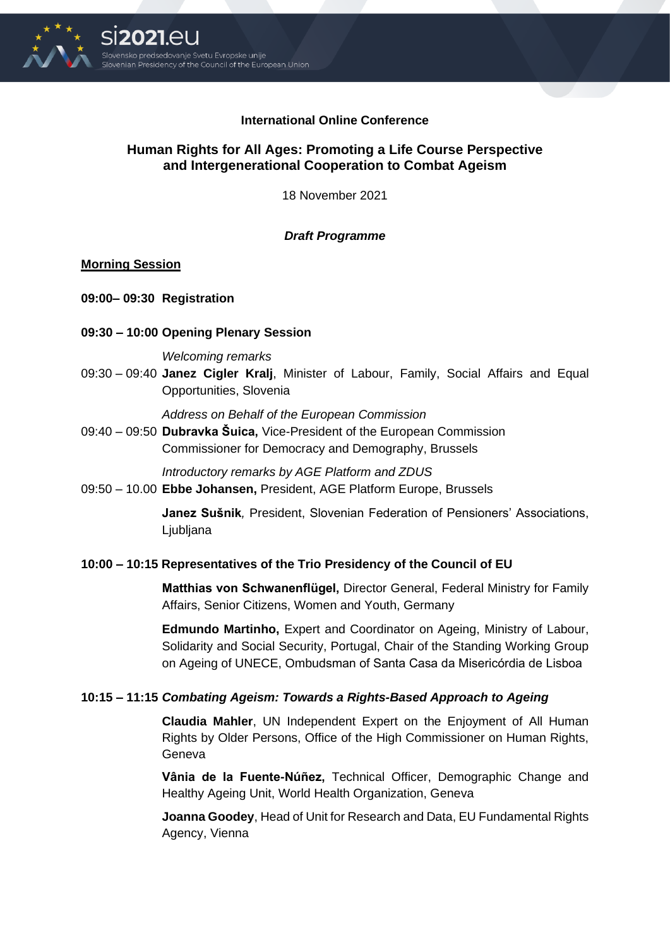

## **International Online Conference**

# **Human Rights for All Ages: Promoting a Life Course Perspective and Intergenerational Cooperation to Combat Ageism**

18 November 2021

## *Draft Programme*

## **Morning Session**

**09:00– 09:30 Registration**

## **09:30 – 10:00 Opening Plenary Session**

### *Welcoming remarks*

09:30 – 09:40 **Janez Cigler Kralj**, Minister of Labour, Family, Social Affairs and Equal Opportunities, Slovenia

*Address on Behalf of the European Commission* 

09:40 – 09:50 **Dubravka Šuica,** Vice-President of the European Commission Commissioner for Democracy and Demography, Brussels

*Introductory remarks by AGE Platform and ZDUS* 

09:50 – 10.00 **Ebbe Johansen,** President, AGE Platform Europe, Brussels

**Janez Sušnik***,* President, Slovenian Federation of Pensioners' Associations, **L**jubljana

## **10:00 – 10:15 Representatives of the Trio Presidency of the Council of EU**

**Matthias von Schwanenflügel,** Director General, Federal Ministry for Family Affairs, Senior Citizens, Women and Youth, Germany

**Edmundo Martinho,** Expert and Coordinator on Ageing, Ministry of Labour, Solidarity and Social Security, Portugal, Chair of the Standing Working Group on Ageing of UNECE, Ombudsman of Santa Casa da Misericórdia de Lisboa

## **10:15 – 11:15** *Combating Ageism: Towards a Rights-Based Approach to Ageing*

**Claudia Mahler**, UN Independent Expert on the Enjoyment of All Human Rights by Older Persons, Office of the High Commissioner on Human Rights, Geneva

**Vânia de la Fuente-Núñez,** Technical Officer, Demographic Change and Healthy Ageing Unit, World Health Organization, Geneva

**Joanna Goodey**, Head of Unit for Research and Data, EU Fundamental Rights Agency, Vienna